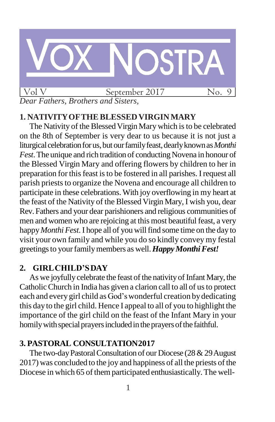

## **1. NATIVITYOFTHEBLESSEDVIRGINMARY**

The Nativity of the Blessed Virgin Mary which is to be celebrated on the 8th of September is very dear to us because it is not just a liturgical celebration for us, but our family feast, dearly known as *Monthi Fest*. The unique and rich tradition of conducting Novena in honour of the Blessed Virgin Mary and offering flowers by children to her in preparation for thisfeast isto be fostered in all parishes. Irequest all parish priests to organize the Novena and encourage all children to participate in these celebrations.With joy overflowing in my heart at the feast of the Nativity of the Blessed Virgin Mary, I wish you, dear Rev. Fathers and your dear parishioners and religious communities of men and women who are rejoicing at this most beautiful feast, a very happy *Monthi Fest*. I hope all of you will find some time on the day to visit your own family and while you do so kindly convey my festal greetings to your family members as well. Happy Monthi Fest!

## **2. GIRLCHILD'SDAY**

As we joyfully celebrate the feast of the nativity of Infant Mary, the CatholicChurch in India has given a clarion call to all of usto protect each and every girl child as God'swonderful creation bydedicating this day to the girl child. Hence I appeal to all of you to highlight the importance of the girl child on the feast of the Infant Mary in your homily with special prayers included in the prayers of the faithful.

# **3. PASTORAL CONSULTATION2017**

The two-day Pastoral Consultation of our Diocese (28 & 29 August) 2017) was concluded to the joy and happiness of all the priests of the Diocese in which 65 of them participated enthusiastically. The well-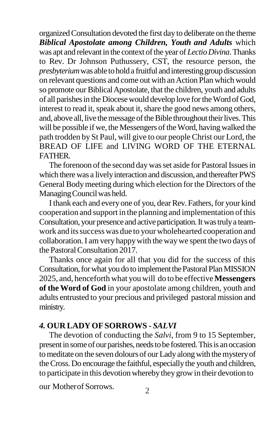organizedConsultation devoted the first day to deliberate on the theme *Biblical Apostolate among Children, Youth and Adults* which was apt and relevant in the context of the year of *Lectio Divina*. Thanks to Rev. Dr Johnson Puthussery, CST, the resource person, the *presbyterium* was able to hold a fruitful and interesting group discussion on relevant questions and come out with an Action Plan which would so promote our Biblical Apostolate, that the children, youth and adults of all parishesin the Diocesewould develop love fortheWordof God, interest to read it, speak about it, share the good news among others, and, above all, live the message of the Bible throughout their lives. This will be possible if we, the Messengers of the Word, having walked the path trodden by St Paul, will give to our people Christ our Lord, the BREAD OF LIFE and LIVING WORD OF THE ETERNAL FATHER.

The forenoon of the second day was set aside for Pastoral Issues in which there was a lively interaction and discussion, and thereafter PWS General Bodymeeting during which election for the Directors of the Managing Council was held.

I thank each and every one of you, dear Rev. Fathers, for your kind cooperation and support in the planning and implementation ofthis Consultation, your presence and active participation. It was truly a teamwork and its success was due to your wholehearted cooperation and collaboration.I am very happywith the waywe spent the two days of the Pastoral Consultation 2017.

Thanks once again for all that you did for the success of this Consultation, for what you do to implement the Pastoral Plan MISSION 2025, and, henceforth what you will do to be effective**Messengers of the Word of God** in your apostolate among children, youth and adults entrusted to your precious and privileged pastoral mission and ministry.

## *4.* **OUR LADYOFSORROWS -** *SALVI*

The devotion of conducting the *Salvi*, from 9 to 15 September, present in some of our parishes, needs to be fostered. This is an occasion to meditate on the seven dolours of our Lady along with the mystery of the Cross. Do encourage the faithful, especially the youth and children, to participate in this devotionwherebythey grow in their devotion to

our Motherof Sorrows.  $\frac{2}{2}$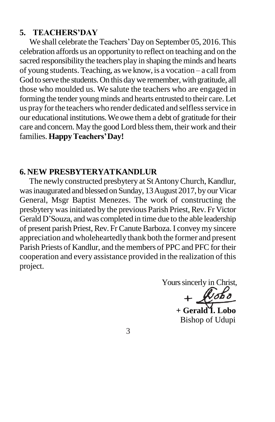#### **5. TEACHERS'DAY**

We shall celebrate the Teachers'Day on September 05, 2016.This celebration affords us an opportunity to reflect on teaching and on the sacred responsibility the teachers play in shaping the minds and hearts of young students. Teaching, as we know, is a vocation – a call from God to serve the students. On this day we remember, with gratitude, all those who moulded us. We salute the teachers who are engaged in forming the tender young minds and hearts entrusted to their care. Let us pray for the teachers who render dedicated and selfless service in our educational institutions.We owe them a debt of gratitude for their care and concern. May the good Lord blessthem, their work and their families. **Happy Teachers' Day!** 

#### **6. NEW PRESBYTERYATKANDLUR**

The newly constructed presbytery at StAntonyChurch, Kandlur, was inaugurated and blessed on Sunday, 13 August 2017, by our Vicar General, Msgr Baptist Menezes. The work of constructing the presbyterywasinitiated by the previous Parish Priest, Rev. Fr Victor Gerald D'Souza, and was completed in time due to the able leadership of present parish Priest, Rev. Fr Canute Barboza. I convey my sincere appreciation and wholeheartedly thank both the former and present Parish Priests of Kandlur, and the members of PPC and PFC for their cooperation and every assistance provided in the realization of this project.

Yours sincerly in Christ,

**+ Gerald I. Lobo** Bishop of Udupi

3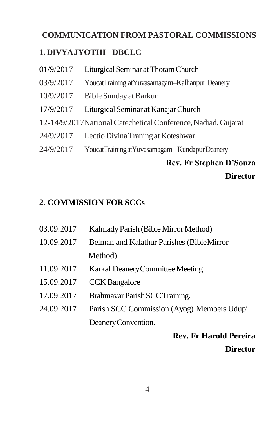# **COMMUNICATION FROM PASTORAL COMMISSIONS**

# **1. DIVYAJYOTHI –DBCLC**

- 01/9/2017 Liturgical Seminar at Thotam Church 03/9/2017 YoucatTraining atYuvasamagam–Kallianpur Deanery 10/9/2017 BibleSundayatBarkur 17/9/2017 LiturgicalSeminar atKanajarChurch
- 
- 12-14/9/2017NationalCatecheticalConference,Nadiad,Gujarat
- 24/9/2017 LectioDivinaTraningatKoteshwar
- 24/9/2017 YoucatTrainingatYuvasamagam–KundapurDeanery

# **Rev. Fr Stephen D'Souza Director**

# **2. COMMISSION FOR SCCs**

- 03.09.2017 Kalmady Parish (Bible Mirror Method)
- 10.09.2017 Belman and Kalathur Parishes (BibleMirror Method)
- 11.09.2017 Karkal Deanery Committee Meeting
- 15.09.2017 CCK Bangalore
- 17.09.2017 Brahmavar Parish SCC Training.
- 24.09.2017 Parish SCC Commission (Ayog) Members Udupi DeaneryConvention.

# **Rev. Fr Harold Pereira Director**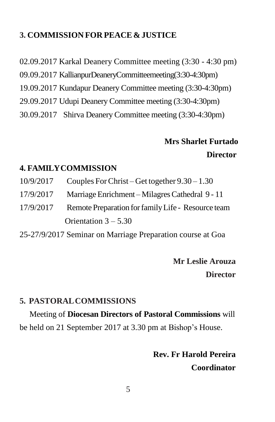## **3. COMMISSION FOR PEACE & JUSTICE**

02.09.2017 Karkal Deanery Committee meeting (3:30 - 4:30 pm)

09.09.2017 KallianpurDeaneryCommitteemeeting(3:30-4:30pm)

19.09.2017 Kundapur Deanery Committee meeting (3:30-4:30pm)

- 29.09.2017 Udupi Deanery Committee meeting (3:30-4:30pm)
- 30.09.2017 Shirva Deanery Committee meeting (3:30-4:30pm)

# **Mrs Sharlet Furtado Director**

#### **4. FAMILYCOMMISSION**

- 10/9/2017 Couples ForChrist Get together 9.30 1.30
- 17/9/2017 MarriageEnrichment MilagresCathedral 9 11
- 17/9/2017 Remote Preparation for family Life Resource team Orientation 3 – 5.30

25-27/9/2017 Seminar on Marriage Preparation course at Goa

# **Mr Leslie Arouza Director**

## **5. PASTORALCOMMISSIONS**

Meeting of **Diocesan Directors of Pastoral Commissions** will be held on 21 September 2017 at 3.30 pm at Bishop's House.

> **Rev. Fr Harold Pereira Coordinator**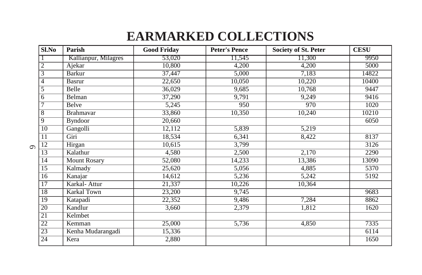# **EARMARKED COLLECTIONS**

|          | Sl.No           | Parish               | <b>Good Friday</b>  | <b>Peter's Pence</b> | <b>Society of St. Peter</b> | <b>CESU</b> |
|----------|-----------------|----------------------|---------------------|----------------------|-----------------------------|-------------|
| $\sigma$ |                 | Kallianpur, Milagres | 53,020              | 11,545               | 11,300                      | 9950        |
|          | $\overline{2}$  | Ajekar               | 10,800              | 4,200                | 4,200                       | 5000        |
|          | 3               | <b>Barkur</b>        | 37,447              | 5,000                | 7,183                       | 14822       |
|          | 4               | <b>Basrur</b>        | $\overline{22,650}$ | 10,050               | 10,220                      | 10400       |
|          | $\overline{5}$  | Belle                | 36,029              | 9,685                | 10,768                      | 9447        |
|          | 6               | Belman               | 37,290              | 9,791                | 9,249                       | 9416        |
|          |                 | <b>Belve</b>         | 5,245               | 950                  | 970                         | 1020        |
|          | 8               | <b>Brahmayar</b>     | 33,860              | 10,350               | 10,240                      | 10210       |
|          | 9               | <b>Byndoor</b>       | 20,660              |                      |                             | 6050        |
|          | $\overline{10}$ | Gangolli             | 12,112              | 5,839                | 5,219                       |             |
|          | 11              | Giri                 | 18,534              | 6,341                | 8,422                       | 8137        |
|          | $\overline{12}$ | Hirgan               | 10,615              | 3,799                |                             | 3126        |
|          | $\overline{13}$ | Kalathur             | 4,580               | 2,500                | 2,170                       | 2290        |
|          | 14              | Mount Rosary         | 52,080              | 14,233               | 13,386                      | 13090       |
|          | $\overline{15}$ | Kalmady              | 25,620              | 5,056                | 4,885                       | 5370        |
|          | 16              | Kanajar              | 14,612              | 5,236                | 5,242                       | 5192        |
|          | $\overline{17}$ | Karkal-Attur         | 21,337              | 10,226               | 10,364                      |             |
|          | 18              | Karkal Town          | 23,200              | 9,745                |                             | 9683        |
|          | 19              | Katapadi             | 22,352              | 9,486                | 7,284                       | 8862        |
|          | $\overline{20}$ | Kandlur              | 3,660               | 2,379                | 1,812                       | 1620        |
|          | 21              | Kelmbet              |                     |                      |                             |             |
|          | 22              | Kemman               | 25,000              | 5,736                | 4,850                       | 7335        |
|          | 23              | Kenha Mudarangadi    | 15,336              |                      |                             | 6114        |
|          | 24              | Kera                 | 2,880               |                      |                             | 1650        |